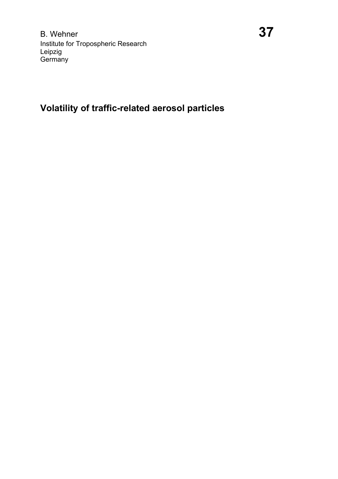# **Volatility of traffic-related aerosol particles**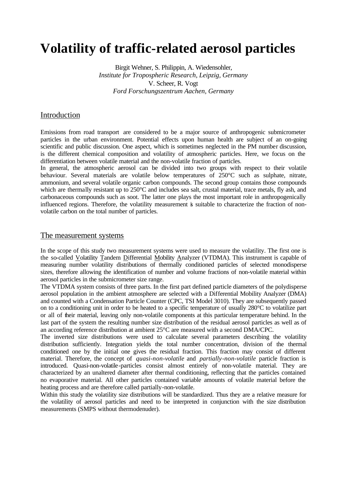# **Volatility of traffic-related aerosol particles**

Birgit Wehner, S. Philippin, A. Wiedensohler, *Institute for Tropospheric Research, Leipzig, Germany* V. Scheer, R. Vogt *Ford Forschungszentrum Aachen, Germany*

## Introduction

Emissions from road transport are considered to be a major source of anthropogenic submicrometer particles in the urban environment. Potential effects upon human health are subject of an on-going scientific and public discussion. One aspect, which is sometimes neglected in the PM number discussion, is the different chemical composition and volatility of atmospheric particles. Here, we focus on the differentiation between volatile material and the non-volatile fraction of particles.

In general, the atmospheric aerosol can be divided into two groups with respect to their volatile behaviour. Several materials are volatile below temperatures of 250°C such as sulphate, nitrate, ammonium, and several volatile organic carbon compounds. The second group contains those compounds which are thermally resistant up to 250°C and includes sea salt, crustal material, trace metals, fly ash, and carbonaceous compounds such as soot. The latter one plays the most important role in anthropogenically influenced regions. Therefore, the volatility measurement is suitable to characterize the fraction of nonvolatile carbon on the total number of particles.

#### The measurement systems

In the scope of this study two measurement systems were used to measure the volatility. The first one is the so-called Volatility Tandem Differential Mobility Analyzer (VTDMA). This instrument is capable of measuring number volatility distributions of thermally conditioned particles of selected monodisperse sizes, therefore allowing the identification of number and volume fractions of non-volatile material within aerosol particles in the submicrometer size range.

The VTDMA system consists of three parts. In the first part defined particle diameters of the polydisperse aerosol population in the ambient atmosphere are selected with a Differential Mobility Analyzer (DMA) and counted with a Condensation Particle Counter (CPC, TSI Model 3010). They are subsequently passed on to a conditioning unit in order to be heated to a specific temperature of usually 280°C to volatilize part or all of their material, leaving only non-volatile components at this particular temperature behind. In the last part of the system the resulting number size distribution of the residual aerosol particles as well as of an according reference distribution at ambient 25°C are measured with a second DMA/CPC.

The inverted size distributions were used to calculate several parameters describing the volatility distribution sufficiently. Integration yields the total number concentration, division of the thermal conditioned one by the initial one gives the residual fraction. This fraction may consist of different material. Therefore, the concept of *quasi-non-volatile* and *partially-non-volatile* particle fraction is introduced. Quasi-non-volatile-particles consist almost entirely of non-volatile material. They are characterized by an unaltered diameter after thermal conditioning, reflecting that the particles contained no evaporative material. All other particles contained variable amounts of volatile material before the heating process and are therefore called partially-non-volatile.

Within this study the volatility size distributions will be standardized. Thus they are a relative measure for the volatility of aerosol particles and need to be interpreted in conjunction with the size distribution measurements (SMPS without thermodenuder).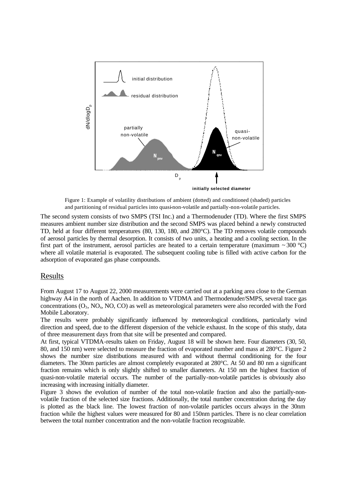

Figure 1: Example of volatility distributions of ambient (dotted) and conditioned (shaded) particles and partitioning of residual particles into quasi-non-volatile and partially-non-volatile particles.

The second system consists of two SMPS (TSI Inc.) and a Thermodenuder (TD). Where the first SMPS measures ambient number size distribution and the second SMPS was placed behind a newly constructed TD, held at four different temperatures (80, 130, 180, and 280°C). The TD removes volatile compounds of aerosol particles by thermal desorption. It consists of two units, a heating and a cooling section. In the first part of the instrument, aerosol particles are heated to a certain temperature (maximum  $\sim$  300 °C) where all volatile material is evaporated. The subsequent cooling tube is filled with active carbon for the adsorption of evaporated gas phase compounds.

### Results

From August 17 to August 22, 2000 measurements were carried out at a parking area close to the German highway A4 in the north of Aachen. In addition to VTDMA and Thermodenuder/SMPS, several trace gas concentrations  $(O_3, NO_3, NO, CO)$  as well as meteorological parameters were also recorded with the Ford Mobile Laboratory.

The results were probably significantly influenced by meteorological conditions, particularly wind direction and speed, due to the different dispersion of the vehicle exhaust. In the scope of this study, data of three measurement days from that site will be presented and compared.

At first, typical VTDMA-results taken on Friday, August 18 will be shown here. Four diameters (30, 50, 80, and 150 nm) were selected to measure the fraction of evaporated number and mass at 280°C. Figure 2 shows the number size distributions measured with and without thermal conditioning for the four diameters. The 30nm particles are almost completely evaporated at 280°C. At 50 and 80 nm a significant fraction remains which is only slightly shifted to smaller diameters. At 150 nm the highest fraction of quasi-non-volatile material occurs. The number of the partially-non-volatile particles is obviously also increasing with increasing initially diameter.

Figure 3 shows the evolution of number of the total non-volatile fraction and also the partially-nonvolatile fraction of the selected size fractions. Additionally, the total number concentration during the day is plotted as the black line. The lowest fraction of non-volatile particles occurs always in the 30nm fraction while the highest values were measured for 80 and 150nm particles. There is no clear correlation between the total number concentration and the non-volatile fraction recognizable.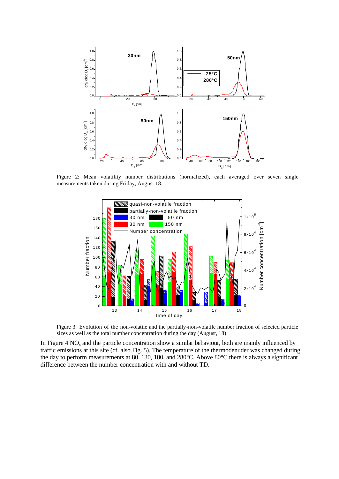

Figure 2: Mean volatility number distributions (normalized), each averaged over seven single measurements taken during Friday, August 18.



Figure 3: Evolution of the non-volatile and the partially-non-volatile number fraction of selected particle sizes as well as the total number concentration during the day (August, 18).

In Figure 4  $NO<sub>x</sub>$  and the particle concentration show a similar behaviour, both are mainly influenced by traffic emissions at this site (cf. also Fig. 5). The temperature of the thermodenuder was changed during the day to perform measurements at 80, 130, 180, and 280°C. Above 80°C there is always a significant difference between the number concentration with and without TD.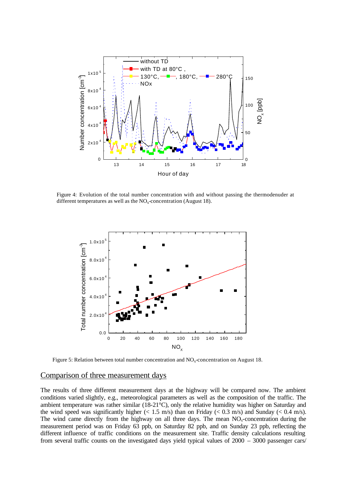

Figure 4: Evolution of the total number concentration with and without passing the thermodenuder at different temperatures as well as the  $NO<sub>x</sub>$ -concentration (August 18).



Figure 5: Relation between total number concentration and  $NO<sub>x</sub>$ -concentration on August 18.

#### Comparison of three measurement days

The results of three different measurement days at the highway will be compared now. The ambient conditions varied slightly, e.g., meteorological parameters as well as the composition of the traffic. The ambient temperature was rather similar (18-21°C), only the relative humidity was higher on Saturday and the wind speed was significantly higher  $(< 1.5$  m/s) than on Friday  $(< 0.3$  m/s) and Sunday  $(< 0.4$  m/s). The wind came directly from the highway on all three days. The mean  $NO<sub>x</sub>$ -concentration during the measurement period was on Friday 63 ppb, on Saturday 82 ppb, and on Sunday 23 ppb, reflecting the different influence of traffic conditions on the measurement site. Traffic density calculations resulting from several traffic counts on the investigated days yield typical values of 2000 – 3000 passenger cars/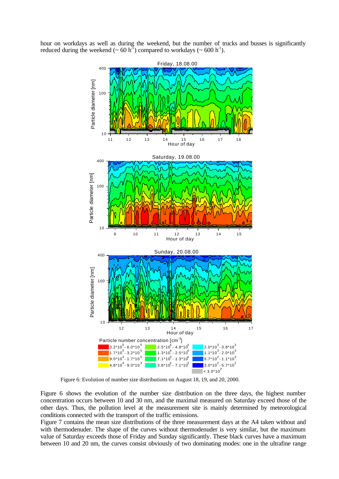hour on workdays as well as during the weekend, but the number of trucks and busses is significantly reduced during the weekend ( $\sim 60 \text{ h}^1$ ) compared to workdays ( $\sim 600 \text{ h}^1$ ).



Figure 6: Evolution of number size distributions on August 18, 19, and 20, 2000.

Figure 6 shows the evolution of the number size distribution on the three days, the highest number concentration occurs between 10 and 30 nm, and the maximal measured on Saturday exceed those of the other days. Thus, the pollution level at the measurement site is mainly determined by meteorological conditions connected with the transport of the traffic emissions.

Figure 7 contains the mean size distributions of the three measurement days at the A4 taken without and with thermodenuder. The shape of the curves without thermodenuder is very similar, but the maximum value of Saturday exceeds those of Friday and Sunday significantly. These black curves have a maximum between 10 and 20 nm, the curves consist obviously of two dominating modes: one in the ultrafine range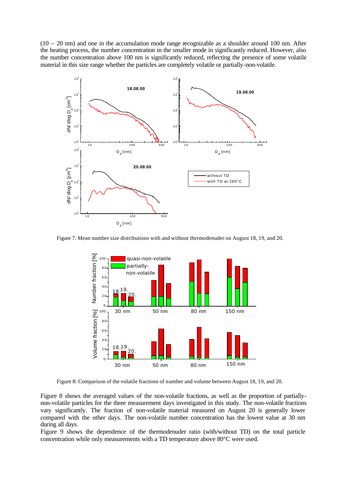$(10 - 20)$  nm) and one in the accumulation mode range recognizable as a shoulder around 100 nm. After the heating process, the number concentration in the smaller mode in significantly reduced. However, also the number concentration above 100 nm is significantly reduced, reflecting the presence of some volatile material in this size range whether the particles are completely volatile or partially-non-volatile.



Figure 7: Mean number size distributions with and without thermodenuder on August 18, 19, and 20.



Figure 8: Comparison of the volatile fractions of number and volume between August 18, 19, and 20.

Figure 8 shows the averaged values of the non-volatile fractions, as well as the proportion of partiallynon-volatile particles for the three measurement days investigated in this study. The non-volatile fractions vary significantly. The fraction of non-volatile material measured on August 20 is generally lower compared with the other days. The non-volatile number concentration has the lowest value at 30 nm during all days.

Figure 9 shows the dependence of the thermodenuder ratio (with/without TD) on the total particle concentration while only measurements with a TD temperature above 80°C were used.